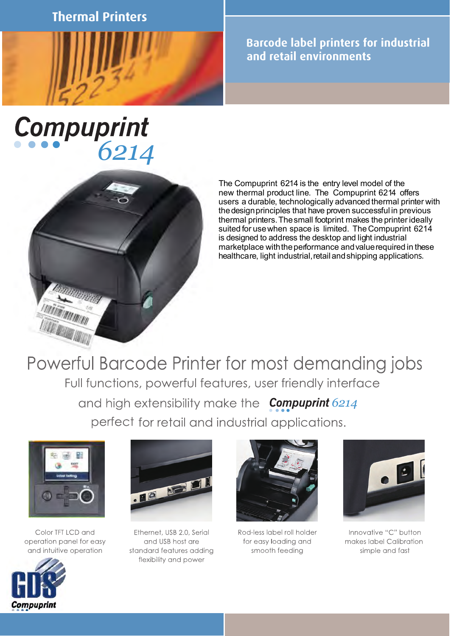**Thermal Printers**



**Barcode label printers for industrial and retail environments**

## Compuprint<br>6214



The Compuprint 6214 is the entry level model of the new thermal product line. The Compuprint 6214 offers users a durable, technologically advanced thermal printer with the design principles that have proven successful in previous thermal printers.Thesmall footprint makes the printer ideally suited for usewhen space is limited. The Compuprint 6214 is designed to address the desktop and light industrial marketplace withtheperformance andvaluerequired in these healthca re, light industrial, retail and shipping applications.

Powerful Barcode Printer for most demanding jobs Full functions, powerful features, user friendly interface and high extensibility make the **Compuprint** 6214 perfect for retail and industrial applications.



Color TFT LCD and operation panel for easy and intuitive operation



Ethernet, USB 2.0, Serial and USB host are standard features adding flexibility and power



Rod-less label roll holder for easy loading and smooth feeding



Innovative "C" button makes label Calibration simple and fast